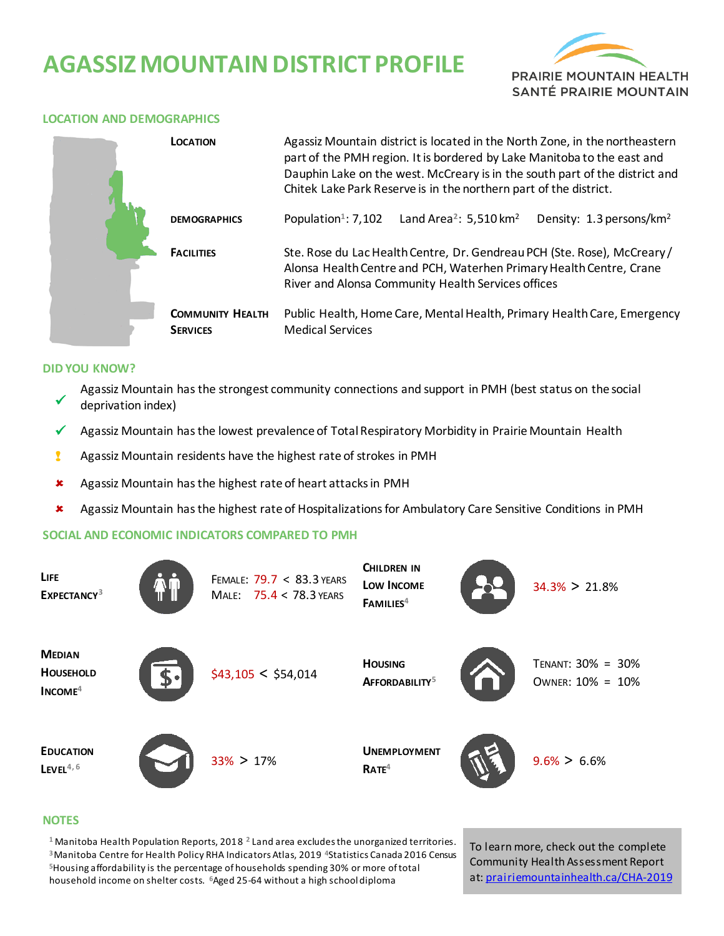# **AGASSIZ MOUNTAIN DISTRICT PROFILE**



#### **LOCATION AND DEMOGRAPHICS**

|  | <b>LOCATION</b>                            | Agassiz Mountain district is located in the North Zone, in the northeastern<br>part of the PMH region. It is bordered by Lake Manitoba to the east and<br>Dauphin Lake on the west. McCreary is in the south part of the district and<br>Chitek Lake Park Reserve is in the northern part of the district. |  |  |  |  |
|--|--------------------------------------------|------------------------------------------------------------------------------------------------------------------------------------------------------------------------------------------------------------------------------------------------------------------------------------------------------------|--|--|--|--|
|  | <b>DEMOGRAPHICS</b>                        | Population <sup>1</sup> : 7,102<br>Land Area <sup>2</sup> : 5,510 km <sup>2</sup><br>Density: 1.3 persons/km <sup>2</sup>                                                                                                                                                                                  |  |  |  |  |
|  | <b>FACILITIES</b>                          | Ste. Rose du Lac Health Centre, Dr. Gendreau PCH (Ste. Rose), McCreary/<br>Alonsa Health Centre and PCH, Waterhen Primary Health Centre, Crane<br>River and Alonsa Community Health Services offices                                                                                                       |  |  |  |  |
|  | <b>COMMUNITY HEALTH</b><br><b>SERVICES</b> | Public Health, Home Care, Mental Health, Primary Health Care, Emergency<br><b>Medical Services</b>                                                                                                                                                                                                         |  |  |  |  |

#### **DID YOU KNOW?**

- $\checkmark$ Agassiz Mountain has the strongest community connections and support in PMH (best status on the social deprivation index)
- Agassiz Mountain has the lowest prevalence of Total Respiratory Morbidity in Prairie Mountain Health
- **2** Agassiz Mountain residents have the highest rate of strokes in PMH
- Agassiz Mountain has the highest rate of heart attacksin PMH
- Agassiz Mountain has the highest rate of Hospitalizations for Ambulatory Care Sensitive Conditions in PMH

### **SOCIAL AND ECONOMIC INDICATORS COMPARED TO PMH**

| <b>LIFE</b><br>EXPECTANCY <sup>3</sup>         | FEMALE: 79.7 < 83.3 YEARS<br>MALE: 75.4 < 78.3 YEARS | <b>CHILDREN IN</b><br>Low Income<br>FAMILIES <sup>4</sup> | $34.3\% > 21.8\%$                     |
|------------------------------------------------|------------------------------------------------------|-----------------------------------------------------------|---------------------------------------|
| <b>MEDIAN</b><br><b>HOUSEHOLD</b><br>$INCOME4$ | \$43,105 < \$54,014                                  | <b>HOUSING</b><br>AFFORDABILITY <sup>5</sup>              | TENANT: 30% = 30%<br>OWNER: 10% = 10% |
| <b>EDUCATION</b><br>$L$ EVEL <sup>4,6</sup>    | $33\% > 17\%$                                        | <b>UNEMPLOYMENT</b><br>RATE <sup>4</sup>                  | $9.6\% > 6.6\%$                       |

#### **NOTES**

 Manitoba Health Population Reports, 2018 **<sup>2</sup>**Land area excludes the unorganized territories. Manitoba Centre for Health Policy RHA Indicators Atlas, 2019 **<sup>4</sup>**Statistics Canada 2016 Census Housing affordability is the percentage of households spending 30% or more of total household income on shelter costs. **<sup>6</sup>**Aged 25-64 without a high school diploma

To learn more, check out the complete Community Health Assessment Report at[: prairiemountainhealth.ca/CHA-2019](https://prairiemountainhealth.ca/CHA-2019)